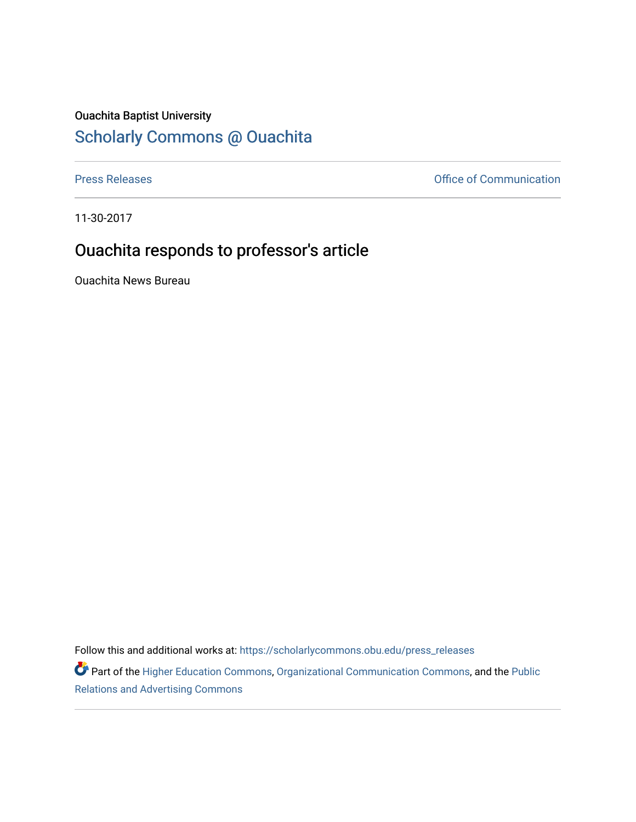## Ouachita Baptist University

## [Scholarly Commons @ Ouachita](https://scholarlycommons.obu.edu/)

[Press Releases](https://scholarlycommons.obu.edu/press_releases) **Press Releases Communication** 

11-30-2017

## Ouachita responds to professor's article

Ouachita News Bureau

Follow this and additional works at: [https://scholarlycommons.obu.edu/press\\_releases](https://scholarlycommons.obu.edu/press_releases?utm_source=scholarlycommons.obu.edu%2Fpress_releases%2F833&utm_medium=PDF&utm_campaign=PDFCoverPages)

Part of the [Higher Education Commons,](http://network.bepress.com/hgg/discipline/1245?utm_source=scholarlycommons.obu.edu%2Fpress_releases%2F833&utm_medium=PDF&utm_campaign=PDFCoverPages) [Organizational Communication Commons,](http://network.bepress.com/hgg/discipline/335?utm_source=scholarlycommons.obu.edu%2Fpress_releases%2F833&utm_medium=PDF&utm_campaign=PDFCoverPages) and the [Public](http://network.bepress.com/hgg/discipline/336?utm_source=scholarlycommons.obu.edu%2Fpress_releases%2F833&utm_medium=PDF&utm_campaign=PDFCoverPages) [Relations and Advertising Commons](http://network.bepress.com/hgg/discipline/336?utm_source=scholarlycommons.obu.edu%2Fpress_releases%2F833&utm_medium=PDF&utm_campaign=PDFCoverPages)